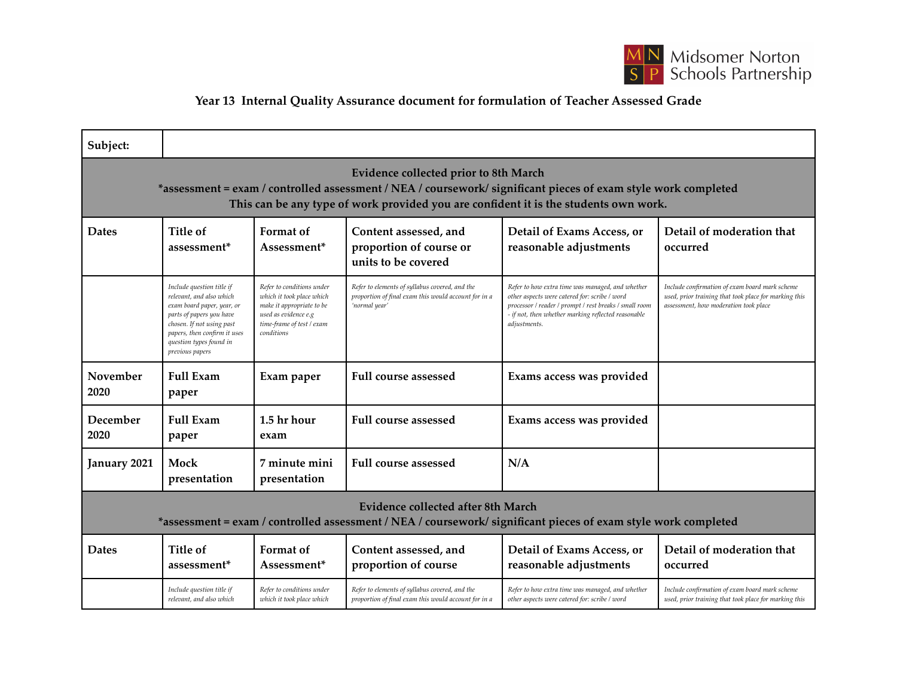

## **Year 13 Internal Quality Assurance document for formulation of Teacher Assessed Grade**

| Subject:                                                                                                                                                                                                                                        |                                                                                                                                                                                                                            |                                                                                                                                                        |                                                                                                                         |                                                                                                                                                                                                                                    |                                                                                                                                                  |  |  |  |  |
|-------------------------------------------------------------------------------------------------------------------------------------------------------------------------------------------------------------------------------------------------|----------------------------------------------------------------------------------------------------------------------------------------------------------------------------------------------------------------------------|--------------------------------------------------------------------------------------------------------------------------------------------------------|-------------------------------------------------------------------------------------------------------------------------|------------------------------------------------------------------------------------------------------------------------------------------------------------------------------------------------------------------------------------|--------------------------------------------------------------------------------------------------------------------------------------------------|--|--|--|--|
| Evidence collected prior to 8th March<br>*assessment = exam / controlled assessment / NEA / coursework/ significant pieces of exam style work completed<br>This can be any type of work provided you are confident it is the students own work. |                                                                                                                                                                                                                            |                                                                                                                                                        |                                                                                                                         |                                                                                                                                                                                                                                    |                                                                                                                                                  |  |  |  |  |
| <b>Dates</b>                                                                                                                                                                                                                                    | Title of<br>assessment <sup>*</sup>                                                                                                                                                                                        | Format of<br>Assessment*                                                                                                                               | Content assessed, and<br>proportion of course or<br>units to be covered                                                 | Detail of Exams Access, or<br>reasonable adjustments                                                                                                                                                                               | Detail of moderation that<br>occurred                                                                                                            |  |  |  |  |
|                                                                                                                                                                                                                                                 | Include question title if<br>relevant, and also which<br>exam board paper, year, or<br>parts of papers you have<br>chosen. If not using past<br>papers, then confirm it uses<br>question types found in<br>previous papers | Refer to conditions under<br>which it took place which<br>make it appropriate to be<br>used as evidence e.g<br>time-frame of test / exam<br>conditions | Refer to elements of syllabus covered, and the<br>proportion of final exam this would account for in a<br>'normal year' | Refer to how extra time was managed, and whether<br>other aspects were catered for: scribe / word<br>processor / reader / prompt / rest breaks / small room<br>- if not, then whether marking reflected reasonable<br>adjustments. | Include confirmation of exam board mark scheme<br>used, prior training that took place for marking this<br>assessment, how moderation took place |  |  |  |  |
| November<br>2020                                                                                                                                                                                                                                | <b>Full Exam</b><br>paper                                                                                                                                                                                                  | Exam paper                                                                                                                                             | <b>Full course assessed</b>                                                                                             | Exams access was provided                                                                                                                                                                                                          |                                                                                                                                                  |  |  |  |  |
| December<br>2020                                                                                                                                                                                                                                | <b>Full Exam</b><br>paper                                                                                                                                                                                                  | 1.5 hr hour<br>exam                                                                                                                                    | <b>Full course assessed</b>                                                                                             | Exams access was provided                                                                                                                                                                                                          |                                                                                                                                                  |  |  |  |  |
| January 2021                                                                                                                                                                                                                                    | Mock<br>presentation                                                                                                                                                                                                       | 7 minute mini<br>presentation                                                                                                                          | <b>Full course assessed</b>                                                                                             | N/A                                                                                                                                                                                                                                |                                                                                                                                                  |  |  |  |  |
| Evidence collected after 8th March<br>*assessment = exam / controlled assessment / NEA / coursework/ significant pieces of exam style work completed                                                                                            |                                                                                                                                                                                                                            |                                                                                                                                                        |                                                                                                                         |                                                                                                                                                                                                                                    |                                                                                                                                                  |  |  |  |  |
| <b>Dates</b>                                                                                                                                                                                                                                    | Title of<br>assessment*                                                                                                                                                                                                    | Format of<br>Assessment*                                                                                                                               | Content assessed, and<br>proportion of course                                                                           | Detail of Exams Access, or<br>reasonable adjustments                                                                                                                                                                               | Detail of moderation that<br>occurred                                                                                                            |  |  |  |  |
|                                                                                                                                                                                                                                                 | Include question title if<br>relevant, and also which                                                                                                                                                                      | Refer to conditions under<br>which it took place which                                                                                                 | Refer to elements of syllabus covered, and the<br>proportion of final exam this would account for in a                  | Refer to how extra time was managed, and whether<br>other aspects were catered for: scribe / word                                                                                                                                  | Include confirmation of exam board mark scheme<br>used, prior training that took place for marking this                                          |  |  |  |  |